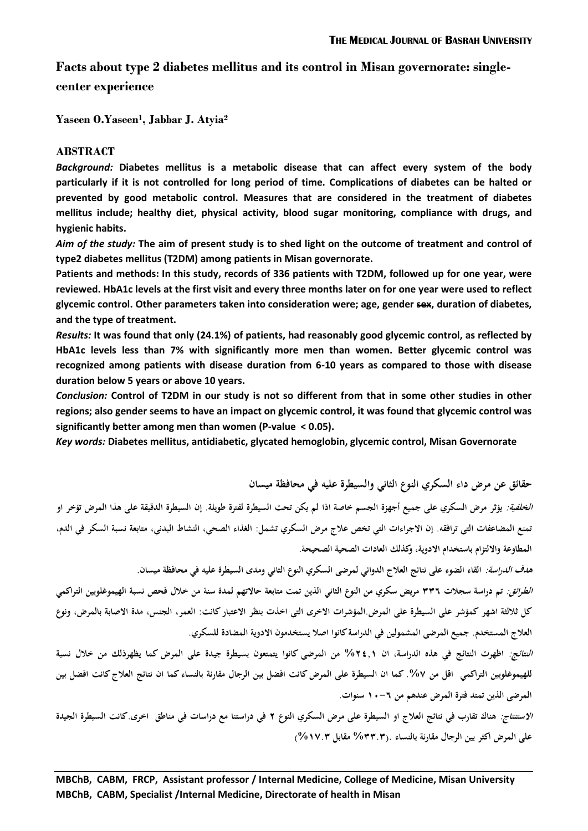# **Facts about type 2 diabetes mellitus and its control in Misan governorate: singlecenter experience**

**Yaseen O.Yaseen<sup>1</sup> , Jabbar J. Atyia<sup>2</sup>**

# **ABSTRACT**

*Background:* **Diabetes mellitus is a metabolic disease that can affect every system of the body particularly if it is not controlled for long period of time. Complications of diabetes can be halted or prevented by good metabolic control. Measures that are considered in the treatment of diabetes mellitus include; healthy diet, physical activity, blood sugar monitoring, compliance with drugs, and hygienic habits.**

*Aim of the study:* **The aim of present study is to shed light on the outcome of treatment and control of type2 diabetes mellitus (T2DM) among patients in Misan governorate.**

**Patients and methods: In this study, records of 336 patients with T2DM, followed up for one year, were reviewed. HbA1c levels at the first visit and every three months later on for one year were used to reflect glycemic control. Other parameters taken into consideration were; age, gender sex, duration of diabetes, and the type of treatment.** 

*Results:* **It was found that only (24.1%) of patients, had reasonably good glycemic control, as reflected by HbA1c levels less than 7% with significantly more men than women. Better glycemic control was recognized among patients with disease duration from 6-10 years as compared to those with disease duration below 5 years or above 10 years.** 

*Conclusion:* **Control of T2DM in our study is not so different from that in some other studies in other regions; also gender seems to have an impact on glycemic control, it was found that glycemic control was significantly better among men than women (P-value > 0.05).**

*Key words:* **Diabetes mellitus, antidiabetic, glycated hemoglobin, glycemic control, Misan Governorate**

**حقائق عن مرض داء السكري النوع الثاني والسيطرة عليو في محافظة ميسان**

**الخلفية: يؤ ثر مرض السكري على جميع أجهزة الجسم خاصة اذا لم يكن تحت السيطرة لفترة طويلة. إن السيطرة الدقيقة على ىذا المرض تؤخر او تمنع المضاعفات التي ترافقو. إن االجراءات التي تخص عالج مرض السكري تشمل: الغذاء الصحي، النشاط البدني، متابعة نسبة السكر في الدم، المطاوعة وااللتزام باستخدام االدوية، وكذلك العادات الصحية الصحيحة.**

**ىدف الدراسة: القاء الضوء على نتائج العالج الدوائي لمرضى السكري النوع الثاني ومدى السيطرة عليو في محافظة ميسان. الطر ائق: تم دراسة سجالت 443 مريض سكري من النوع الثاني الذين تمت متابعة حاالتهم لمدة سنة من خالل فحص نسبة الهيموغلوبين التراكمي كل ثاللثة اشهر كمؤشر على السيطرة على المرض.المؤشرات االخرى التي اخذت بنظر االعتبار كانت: العمر، الجنس، مدة االصابة بالمرض، و نوع العالج المستخدم. جميع المرضى المشمولين في الدراسة كانوا اصال يستخدمون االدوية المضادة للسكري.**

**النتائج: اظهرت النتائج في ىذه الدراسة، ان %3542 من المرضى كانوا يتمتعون بسيطرة جيدة على المرض كما يظهر ذلك من خالل نسبة للهيموغلوبين التراكمي اقل من .%7 كما ان السيطرة على المرض كانت افضل بين الرجال مقارنة بالنساء كما ان نتائج العالج كانت افضل بين المرضى الذين تمتد فترة المرض عندىم من 21-3 سنوات.**

**االستنتاج: ىناك تقارب في نتائج العالج او السيطرة على مرض السكري النوع 3 في دراستنا مع دراسات في مناطق اخرى.كانت السيطرة الجيدة على المرض اكثر بين الرجال مقارنة بالنساء .)%44.4 مقابل %27.4(**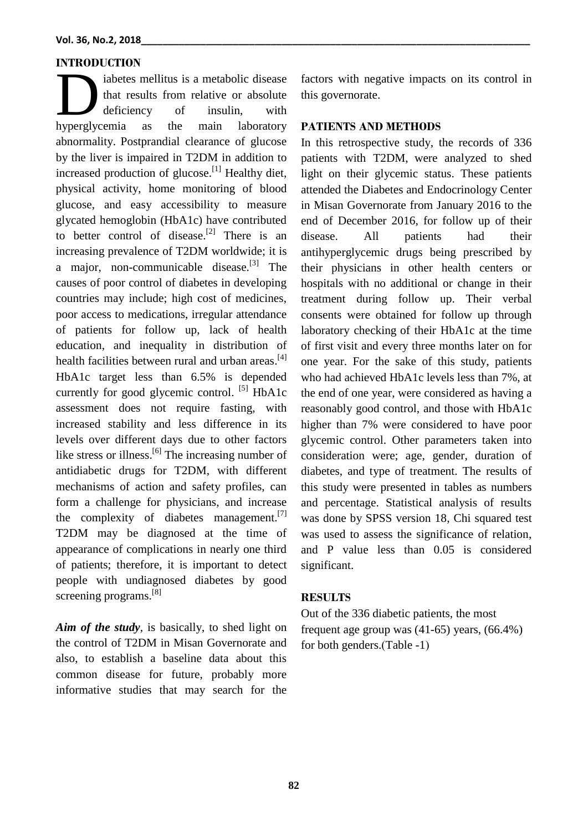# **INTRODUCTION**

iabetes mellitus is a metabolic disease that results from relative or absolute deficiency of insulin, with abetes mellitus is a metabolic disease<br>that results from relative or absolute<br>deficiency of insulin, with<br>hyperglycemia as the main laboratory abnormality. Postprandial clearance of glucose by the liver is impaired in T2DM in addition to increased production of glucose.<sup>[1]</sup> Healthy diet, physical activity, home monitoring of blood glucose, and easy accessibility to measure glycated hemoglobin (HbA1c) have contributed to better control of disease.<sup>[2]</sup> There is an increasing prevalence of T2DM worldwide; it is a major, non-communicable disease.<sup>[3]</sup> The causes of poor control of diabetes in developing countries may include; high cost of medicines, poor access to medications, irregular attendance of patients for follow up, lack of health education, and inequality in distribution of health facilities between rural and urban areas.<sup>[4]</sup> HbA1c target less than 6.5% is depended currently for good glycemic control. <sup>[5]</sup> HbA1c assessment does not require fasting, with increased stability and less difference in its levels over different days due to other factors like stress or illness.<sup>[6]</sup> The increasing number of antidiabetic drugs for T2DM, with different mechanisms of action and safety profiles, can form a challenge for physicians, and increase the complexity of diabetes management.<sup>[7]</sup> T2DM may be diagnosed at the time of appearance of complications in nearly one third of patients; therefore, it is important to detect people with undiagnosed diabetes by good screening programs.<sup>[8]</sup>

*Aim of the study*, is basically, to shed light on the control of T2DM in Misan Governorate and also, to establish a baseline data about this common disease for future, probably more informative studies that may search for the factors with negative impacts on its control in this governorate.

# **PATIENTS AND METHODS**

In this retrospective study, the records of 336 patients with T2DM, were analyzed to shed light on their glycemic status. These patients attended the Diabetes and Endocrinology Center in Misan Governorate from January 2016 to the end of December 2016, for follow up of their disease. All patients had their antihyperglycemic drugs being prescribed by their physicians in other health centers or hospitals with no additional or change in their treatment during follow up. Their verbal consents were obtained for follow up through laboratory checking of their HbA1c at the time of first visit and every three months later on for one year. For the sake of this study, patients who had achieved HbA1c levels less than 7%, at the end of one year, were considered as having a reasonably good control, and those with HbA1c higher than 7% were considered to have poor glycemic control. Other parameters taken into consideration were; age, gender, duration of diabetes, and type of treatment. The results of this study were presented in tables as numbers and percentage. Statistical analysis of results was done by SPSS version 18, Chi squared test was used to assess the significance of relation, and P value less than 0.05 is considered significant.

### **RESULTS**

Out of the 336 diabetic patients, the most frequent age group was (41-65) years, (66.4%) for both genders.(Table  $-1$ )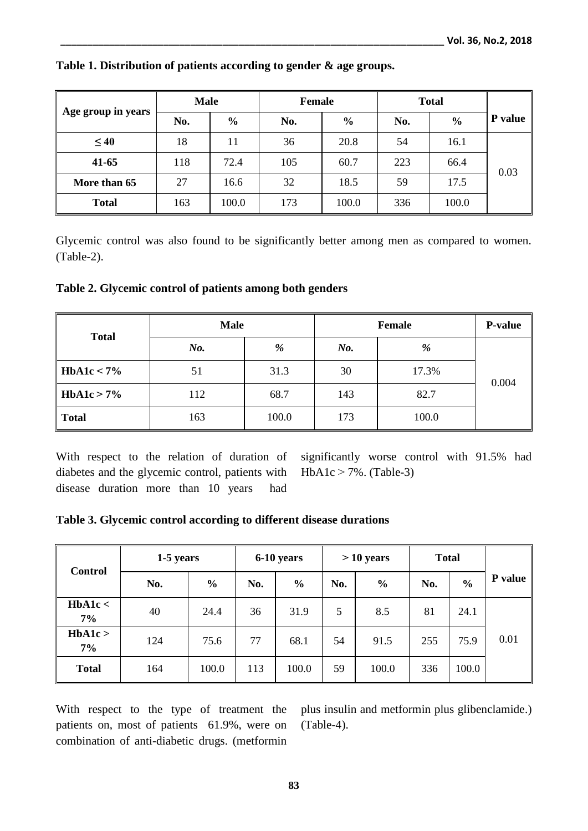|                    | <b>Male</b> |               | <b>Female</b> |               | <b>Total</b> |               |         |
|--------------------|-------------|---------------|---------------|---------------|--------------|---------------|---------|
| Age group in years | No.         | $\frac{6}{9}$ | No.           | $\frac{6}{9}$ | No.          | $\frac{0}{0}$ | P value |
| $\leq 40$          | 18          | 11            | 36            | 20.8          | 54           | 16.1          |         |
| $41 - 65$          | 118         | 72.4          | 105           | 60.7          | 223          | 66.4          | 0.03    |
| More than 65       | 27          | 16.6          | 32            | 18.5          | 59           | 17.5          |         |
| <b>Total</b>       | 163         | 100.0         | 173           | 100.0         | 336          | 100.0         |         |

#### **Table 1. Distribution of patients according to gender & age groups.**

Glycemic control was also found to be significantly better among men as compared to women. (Table-2).

**Table 2. Glycemic control of patients among both genders**

| <b>Total</b> | <b>Male</b> |       | <b>Female</b> | <b>P-value</b> |       |
|--------------|-------------|-------|---------------|----------------|-------|
|              | No.         | %     | $N0$ .        | %              |       |
| HbA1c < 7%   | 51          | 31.3  | 30            | 17.3%          | 0.004 |
| HbA1c > 7%   | 112         | 68.7  | 143           | 82.7           |       |
| <b>Total</b> | 163         | 100.0 | 173           | 100.0          |       |

With respect to the relation of duration of diabetes and the glycemic control, patients with disease duration more than 10 years had

significantly worse control with 91.5% had  $HbA1c > 7%$ . (Table-3)

# **Table 3. Glycemic control according to different disease durations**

| <b>Control</b>  | 1-5 years |               | 6-10 years |               | $>10$ years |               | <b>Total</b> |               |         |
|-----------------|-----------|---------------|------------|---------------|-------------|---------------|--------------|---------------|---------|
|                 | No.       | $\frac{6}{6}$ | No.        | $\frac{6}{6}$ | No.         | $\frac{6}{6}$ | No.          | $\frac{6}{6}$ | P value |
| HbA1c<<br>$7\%$ | 40        | 24.4          | 36         | 31.9          | 5           | 8.5           | 81           | 24.1          |         |
| HbA1c ><br>7%   | 124       | 75.6          | 77         | 68.1          | 54          | 91.5          | 255          | 75.9          | 0.01    |
| <b>Total</b>    | 164       | 100.0         | 113        | 100.0         | 59          | 100.0         | 336          | 100.0         |         |

With respect to the type of treatment the patients on, most of patients 61.9%, were on combination of anti-diabetic drugs. (metformin

plus insulin and metformin plus glibenclamide.) (Table-4).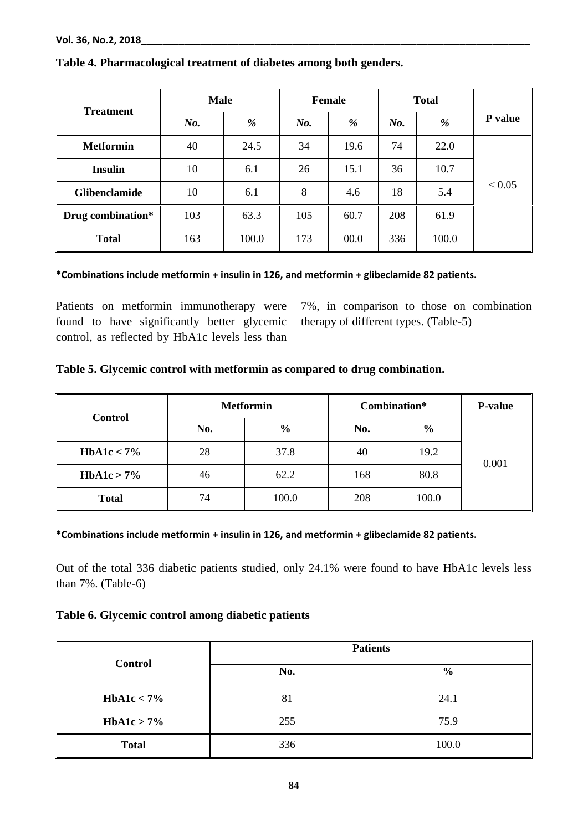| <b>Treatment</b>     | <b>Male</b> |       | <b>Female</b> |      | <b>Total</b> |       |            |
|----------------------|-------------|-------|---------------|------|--------------|-------|------------|
|                      | $No$ .      | %     | $N_{0}$ .     | %    | No.          | %     | P value    |
| <b>Metformin</b>     | 40          | 24.5  | 34            | 19.6 | 74           | 22.0  |            |
| <b>Insulin</b>       | 10          | 6.1   | 26            | 15.1 | 36           | 10.7  |            |
| <b>Glibenclamide</b> | 10          | 6.1   | 8             | 4.6  | 18           | 5.4   | ${}< 0.05$ |
| Drug combination*    | 103         | 63.3  | 105           | 60.7 | 208          | 61.9  |            |
| <b>Total</b>         | 163         | 100.0 | 173           | 00.0 | 336          | 100.0 |            |

### **Table 4. Pharmacological treatment of diabetes among both genders.**

### **\*Combinations include metformin + insulin in 126, and metformin + glibeclamide 82 patients.**

Patients on metformin immunotherapy were found to have significantly better glycemic control, as reflected by HbA1c levels less than

7%, in comparison to those on combination therapy of different types. (Table-5)

# **Table 5. Glycemic control with metformin as compared to drug combination.**

| <b>Control</b> |     | <b>Metformin</b> | Combination* | <b>P-value</b> |       |  |
|----------------|-----|------------------|--------------|----------------|-------|--|
|                | No. | $\frac{6}{6}$    | No.          | $\frac{6}{6}$  |       |  |
| HbA1c $<$ 7%   | 28  | 37.8             | 40           | 19.2           | 0.001 |  |
| HbA1c > 7%     | 46  | 62.2             | 168          | 80.8           |       |  |
| <b>Total</b>   | 74  | 100.0            | 208          | 100.0          |       |  |

#### **\*Combinations include metformin + insulin in 126, and metformin + glibeclamide 82 patients.**

Out of the total 336 diabetic patients studied, only 24.1% were found to have HbA1c levels less than 7%. (Table-6)

## **Table 6. Glycemic control among diabetic patients**

|                | <b>Patients</b> |               |  |  |  |
|----------------|-----------------|---------------|--|--|--|
| <b>Control</b> | No.             | $\frac{6}{9}$ |  |  |  |
| HbA1c < 7%     | 81              | 24.1          |  |  |  |
| HbA1c > 7%     | 255             | 75.9          |  |  |  |
| <b>Total</b>   | 336             | 100.0         |  |  |  |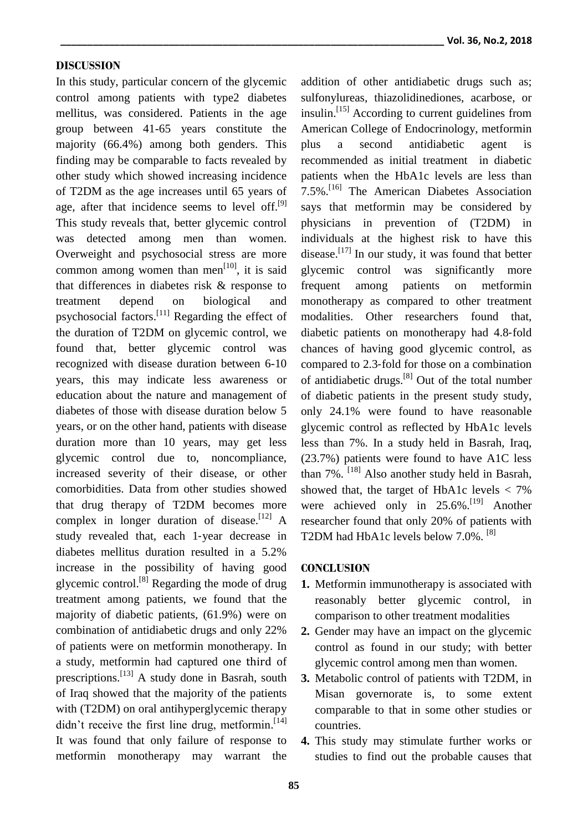#### **DISCUSSION**

In this study, particular concern of the glycemic control among patients with type2 diabetes mellitus, was considered. Patients in the age group between 41-65 years constitute the majority (66.4%) among both genders. This finding may be comparable to facts revealed by other study which showed increasing incidence of T2DM as the age increases until 65 years of age, after that incidence seems to level off. $[9]$ This study reveals that, better glycemic control was detected among men than women. Overweight and psychosocial stress are more common among women than men $^{[10]}$ , it is said that differences in diabetes risk & response to treatment depend on biological and psychosocial factors.<sup>[11]</sup> Regarding the effect of the duration of T2DM on glycemic control, we found that, better glycemic control was recognized with disease duration between 6-10 years, this may indicate less awareness or education about the nature and management of diabetes of those with disease duration below 5 years, or on the other hand, patients with disease duration more than 10 years, may get less glycemic control due to, noncompliance, increased severity of their disease, or other comorbidities. Data from other studies showed that drug therapy of T2DM becomes more complex in longer duration of disease.  $[12]$  A study revealed that, each 1‐year decrease in diabetes mellitus duration resulted in a 5.2% increase in the possibility of having good glycemic control.<sup>[8]</sup> Regarding the mode of drug treatment among patients, we found that the majority of diabetic patients, (61.9%) were on combination of antidiabetic drugs and only 22% of patients were on metformin monotherapy. In a study, metformin had captured one third of prescriptions.[13] A study done in Basrah, south of Iraq showed that the majority of the patients with (T2DM) on oral antihyperglycemic therapy didn't receive the first line drug, metformin.<sup>[14]</sup> It was found that only failure of response to metformin monotherapy may warrant the

addition of other antidiabetic drugs such as; sulfonylureas, thiazolidinediones, acarbose, or insulin.<sup>[15]</sup> According to current guidelines from American College of Endocrinology, metformin plus a second antidiabetic agent is recommended as initial treatment in diabetic patients when the HbA1c levels are less than 7.5%.[16] The American Diabetes Association says that metformin may be considered by physicians in prevention of (T2DM) in individuals at the highest risk to have this disease.<sup>[17]</sup> In our study, it was found that better glycemic control was significantly more frequent among patients on metformin monotherapy as compared to other treatment modalities. Other researchers found that, diabetic patients on monotherapy had 4.8‐fold chances of having good glycemic control, as compared to 2.3‐fold for those on a combination of antidiabetic drugs.<sup>[8]</sup> Out of the total number of diabetic patients in the present study study, only 24.1% were found to have reasonable glycemic control as reflected by HbA1c levels less than 7%. In a study held in Basrah, Iraq, (23.7%) patients were found to have A1C less than 7%. <sup>[18]</sup> Also another study held in Basrah, showed that, the target of HbA1c levels  $<$  7% were achieved only in  $25.6\%$ .<sup>[19]</sup> Another researcher found that only 20% of patients with T2DM had HbA1c levels below 7.0%. [8]

### **CONCLUSION**

- **1.** Metformin immunotherapy is associated with reasonably better glycemic control, in comparison to other treatment modalities
- **2.** Gender may have an impact on the glycemic control as found in our study; with better glycemic control among men than women.
- **3.** Metabolic control of patients with T2DM, in Misan governorate is, to some extent comparable to that in some other studies or countries.
- **4.** This study may stimulate further works or studies to find out the probable causes that